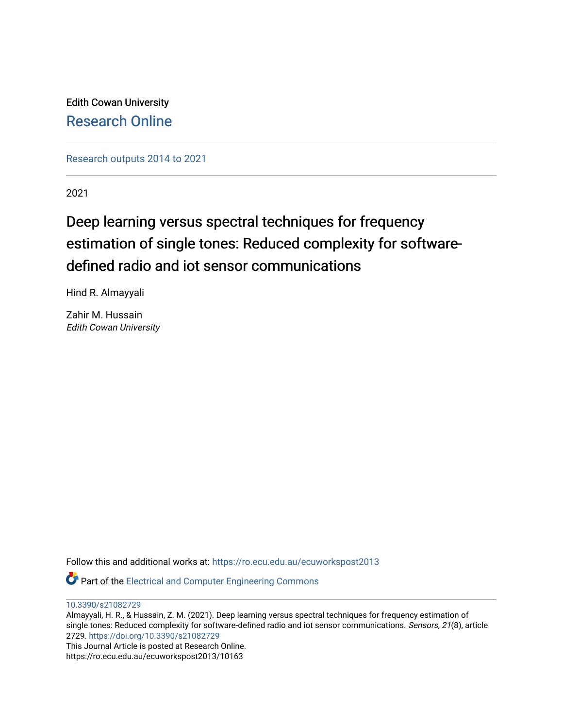Edith Cowan University [Research Online](https://ro.ecu.edu.au/) 

[Research outputs 2014 to 2021](https://ro.ecu.edu.au/ecuworkspost2013) 

2021

# Deep learning versus spectral techniques for frequency estimation of single tones: Reduced complexity for softwaredefined radio and iot sensor communications

Hind R. Almayyali

Zahir M. Hussain Edith Cowan University

Follow this and additional works at: [https://ro.ecu.edu.au/ecuworkspost2013](https://ro.ecu.edu.au/ecuworkspost2013?utm_source=ro.ecu.edu.au%2Fecuworkspost2013%2F10163&utm_medium=PDF&utm_campaign=PDFCoverPages) 

Part of the [Electrical and Computer Engineering Commons](http://network.bepress.com/hgg/discipline/266?utm_source=ro.ecu.edu.au%2Fecuworkspost2013%2F10163&utm_medium=PDF&utm_campaign=PDFCoverPages) 

[10.3390/s21082729](http://dx.doi.org/10.3390/s21082729)

Almayyali, H. R., & Hussain, Z. M. (2021). Deep learning versus spectral techniques for frequency estimation of single tones: Reduced complexity for software-defined radio and iot sensor communications. Sensors, 21(8), article 2729. <https://doi.org/10.3390/s21082729>

This Journal Article is posted at Research Online. https://ro.ecu.edu.au/ecuworkspost2013/10163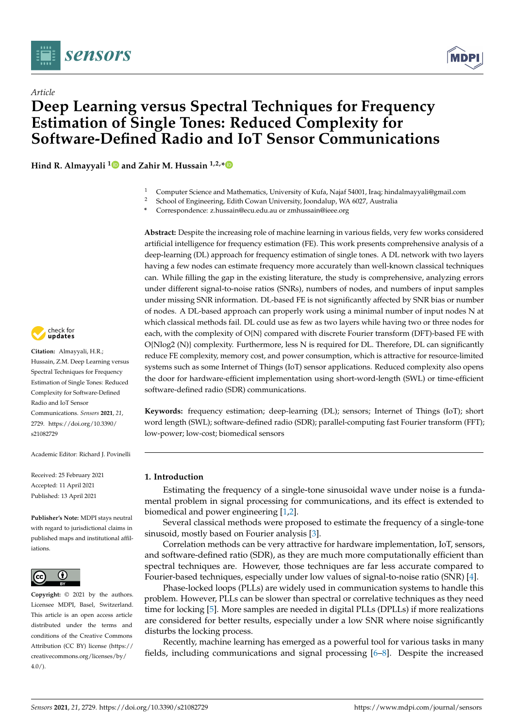

*Article*



# **Deep Learning versus Spectral Techniques for Frequency Estimation of Single Tones: Reduced Complexity for Software-Defined Radio and IoT Sensor Communications**

**Hind R. Almayyali [1](https://orcid.org/0000-0003-4989-161X) and Zahir M. Hussain 1,2,[\\*](https://orcid.org/0000-0002-1707-5485)**

- <sup>1</sup> Computer Science and Mathematics, University of Kufa, Najaf 54001, Iraq; hindalmayyali@gmail.com<br><sup>2</sup> School of Fraincesing Edith Covern University Joandalum WA 6027, Augtralia
- <sup>2</sup> School of Engineering, Edith Cowan University, Joondalup, WA 6027, Australia
- **\*** Correspondence: z.hussain@ecu.edu.au or zmhussain@ieee.org

**Abstract:** Despite the increasing role of machine learning in various fields, very few works considered artificial intelligence for frequency estimation (FE). This work presents comprehensive analysis of a deep-learning (DL) approach for frequency estimation of single tones. A DL network with two layers having a few nodes can estimate frequency more accurately than well-known classical techniques can. While filling the gap in the existing literature, the study is comprehensive, analyzing errors under different signal-to-noise ratios (SNRs), numbers of nodes, and numbers of input samples under missing SNR information. DL-based FE is not significantly affected by SNR bias or number of nodes. A DL-based approach can properly work using a minimal number of input nodes N at which classical methods fail. DL could use as few as two layers while having two or three nodes for each, with the complexity of O{N} compared with discrete Fourier transform (DFT)-based FE with O{Nlog2 (N)} complexity. Furthermore, less N is required for DL. Therefore, DL can significantly reduce FE complexity, memory cost, and power consumption, which is attractive for resource-limited systems such as some Internet of Things (IoT) sensor applications. Reduced complexity also opens the door for hardware-efficient implementation using short-word-length (SWL) or time-efficient software-defined radio (SDR) communications.

**Keywords:** frequency estimation; deep-learning (DL); sensors; Internet of Things (IoT); short word length (SWL); software-defined radio (SDR); parallel-computing fast Fourier transform (FFT); low-power; low-cost; biomedical sensors

# **1. Introduction**

Estimating the frequency of a single-tone sinusoidal wave under noise is a fundamental problem in signal processing for communications, and its effect is extended to biomedical and power engineering [\[1,](#page-16-0)[2\]](#page-16-1).

Several classical methods were proposed to estimate the frequency of a single-tone sinusoid, mostly based on Fourier analysis [\[3\]](#page-16-2).

Correlation methods can be very attractive for hardware implementation, IoT, sensors, and software-defined ratio (SDR), as they are much more computationally efficient than spectral techniques are. However, those techniques are far less accurate compared to Fourier-based techniques, especially under low values of signal-to-noise ratio (SNR) [\[4\]](#page-16-3).

Phase-locked loops (PLLs) are widely used in communication systems to handle this problem. However, PLLs can be slower than spectral or correlative techniques as they need time for locking [\[5\]](#page-16-4). More samples are needed in digital PLLs (DPLLs) if more realizations are considered for better results, especially under a low SNR where noise significantly disturbs the locking process.

Recently, machine learning has emerged as a powerful tool for various tasks in many fields, including communications and signal processing [\[6–](#page-16-5)[8\]](#page-16-6). Despite the increased



**Citation:** Almayyali, H.R.; Hussain, Z.M. Deep Learning versus Spectral Techniques for Frequency Estimation of Single Tones: Reduced Complexity for Software-Defined Radio and IoT Sensor Communications. *Sensors* **2021**, *21*, 2729. [https://doi.org/10.3390/](https://doi.org/10.3390/s21082729) [s21082729](https://doi.org/10.3390/s21082729)

Academic Editor: Richard J. Povinelli

Received: 25 February 2021 Accepted: 11 April 2021 Published: 13 April 2021

**Publisher's Note:** MDPI stays neutral with regard to jurisdictional claims in published maps and institutional affiliations.



**Copyright:** © 2021 by the authors. Licensee MDPI, Basel, Switzerland. This article is an open access article distributed under the terms and conditions of the Creative Commons Attribution (CC BY) license (https:/[/](https://creativecommons.org/licenses/by/4.0/) [creativecommons.org/licenses/by/](https://creativecommons.org/licenses/by/4.0/)  $4.0/$ ).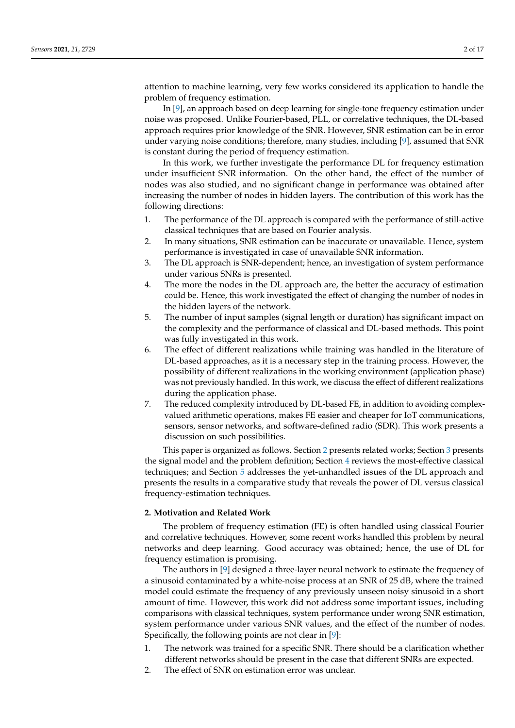attention to machine learning, very few works considered its application to handle the problem of frequency estimation.

In [\[9\]](#page-16-7), an approach based on deep learning for single-tone frequency estimation under noise was proposed. Unlike Fourier-based, PLL, or correlative techniques, the DL-based approach requires prior knowledge of the SNR. However, SNR estimation can be in error under varying noise conditions; therefore, many studies, including [\[9\]](#page-16-7), assumed that SNR is constant during the period of frequency estimation.

In this work, we further investigate the performance DL for frequency estimation under insufficient SNR information. On the other hand, the effect of the number of nodes was also studied, and no significant change in performance was obtained after increasing the number of nodes in hidden layers. The contribution of this work has the following directions:

- 1. The performance of the DL approach is compared with the performance of still-active classical techniques that are based on Fourier analysis.
- 2. In many situations, SNR estimation can be inaccurate or unavailable. Hence, system performance is investigated in case of unavailable SNR information.
- 3. The DL approach is SNR-dependent; hence, an investigation of system performance under various SNRs is presented.
- 4. The more the nodes in the DL approach are, the better the accuracy of estimation could be. Hence, this work investigated the effect of changing the number of nodes in the hidden layers of the network.
- 5. The number of input samples (signal length or duration) has significant impact on the complexity and the performance of classical and DL-based methods. This point was fully investigated in this work.
- 6. The effect of different realizations while training was handled in the literature of DL-based approaches, as it is a necessary step in the training process. However, the possibility of different realizations in the working environment (application phase) was not previously handled. In this work, we discuss the effect of different realizations during the application phase.
- 7. The reduced complexity introduced by DL-based FE, in addition to avoiding complexvalued arithmetic operations, makes FE easier and cheaper for IoT communications, sensors, sensor networks, and software-defined radio (SDR). This work presents a discussion on such possibilities.

This paper is organized as follows. Section [2](#page-2-0) presents related works; Section [3](#page-3-0) presents the signal model and the problem definition; Section [4](#page-4-0) reviews the most-effective classical techniques; and Section [5](#page-6-0) addresses the yet-unhandled issues of the DL approach and presents the results in a comparative study that reveals the power of DL versus classical frequency-estimation techniques.

#### <span id="page-2-0"></span>**2. Motivation and Related Work**

The problem of frequency estimation (FE) is often handled using classical Fourier and correlative techniques. However, some recent works handled this problem by neural networks and deep learning. Good accuracy was obtained; hence, the use of DL for frequency estimation is promising.

The authors in [\[9\]](#page-16-7) designed a three-layer neural network to estimate the frequency of a sinusoid contaminated by a white-noise process at an SNR of 25 dB, where the trained model could estimate the frequency of any previously unseen noisy sinusoid in a short amount of time. However, this work did not address some important issues, including comparisons with classical techniques, system performance under wrong SNR estimation, system performance under various SNR values, and the effect of the number of nodes. Specifically, the following points are not clear in [\[9\]](#page-16-7):

- 1. The network was trained for a specific SNR. There should be a clarification whether different networks should be present in the case that different SNRs are expected.
- 2. The effect of SNR on estimation error was unclear.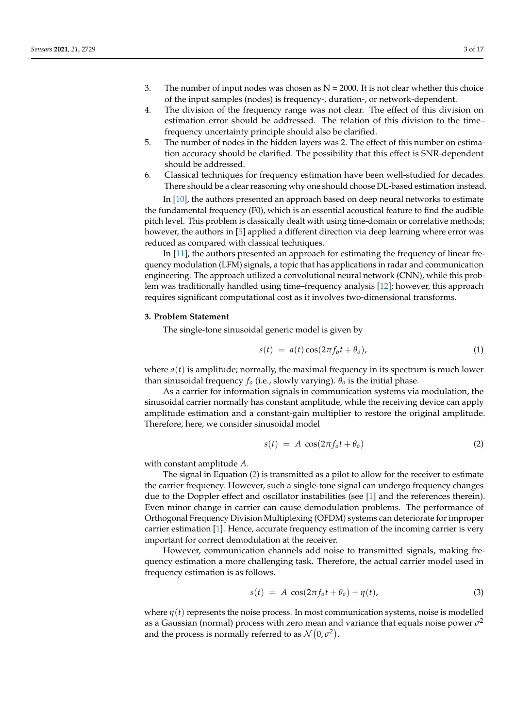- 3. The number of input nodes was chosen as  $N = 2000$ . It is not clear whether this choice of the input samples (nodes) is frequency-, duration-, or network-dependent.
- 4. The division of the frequency range was not clear. The effect of this division on estimation error should be addressed. The relation of this division to the time– frequency uncertainty principle should also be clarified.
- 5. The number of nodes in the hidden layers was 2. The effect of this number on estimation accuracy should be clarified. The possibility that this effect is SNR-dependent should be addressed.
- 6. Classical techniques for frequency estimation have been well-studied for decades. There should be a clear reasoning why one should choose DL-based estimation instead.

In [\[10\]](#page-16-8), the authors presented an approach based on deep neural networks to estimate the fundamental frequency (F0), which is an essential acoustical feature to find the audible pitch level. This problem is classically dealt with using time-domain or correlative methods; however, the authors in [\[5\]](#page-16-4) applied a different direction via deep learning where error was reduced as compared with classical techniques.

In [\[11\]](#page-16-9), the authors presented an approach for estimating the frequency of linear frequency modulation (LFM) signals, a topic that has applications in radar and communication engineering. The approach utilized a convolutional neural network (CNN), while this problem was traditionally handled using time–frequency analysis [\[12\]](#page-16-10); however, this approach requires significant computational cost as it involves two-dimensional transforms.

# <span id="page-3-0"></span>**3. Problem Statement**

The single-tone sinusoidal generic model is given by

$$
s(t) = a(t)\cos(2\pi f_0 t + \theta_0), \qquad (1)
$$

where  $a(t)$  is amplitude; normally, the maximal frequency in its spectrum is much lower than sinusoidal frequency  $f<sub>o</sub>$  (i.e., slowly varying).  $\theta<sub>o</sub>$  is the initial phase.

As a carrier for information signals in communication systems via modulation, the sinusoidal carrier normally has constant amplitude, while the receiving device can apply amplitude estimation and a constant-gain multiplier to restore the original amplitude. Therefore, here, we consider sinusoidal model

<span id="page-3-1"></span>
$$
s(t) = A \cos(2\pi f_0 t + \theta_0) \tag{2}
$$

with constant amplitude *A*.

The signal in Equation [\(2\)](#page-3-1) is transmitted as a pilot to allow for the receiver to estimate the carrier frequency. However, such a single-tone signal can undergo frequency changes due to the Doppler effect and oscillator instabilities (see [\[1\]](#page-16-0) and the references therein). Even minor change in carrier can cause demodulation problems. The performance of Orthogonal Frequency Division Multiplexing (OFDM) systems can deteriorate for improper carrier estimation [\[1\]](#page-16-0). Hence, accurate frequency estimation of the incoming carrier is very important for correct demodulation at the receiver.

However, communication channels add noise to transmitted signals, making frequency estimation a more challenging task. Therefore, the actual carrier model used in frequency estimation is as follows.

<span id="page-3-2"></span>
$$
s(t) = A \cos(2\pi f_o t + \theta_o) + \eta(t), \qquad (3)
$$

where  $\eta(t)$  represents the noise process. In most communication systems, noise is modelled as a Gaussian (normal) process with zero mean and variance that equals noise power  $\sigma^2$ and the process is normally referred to as  $\mathcal{N}(0,\sigma^2)$ .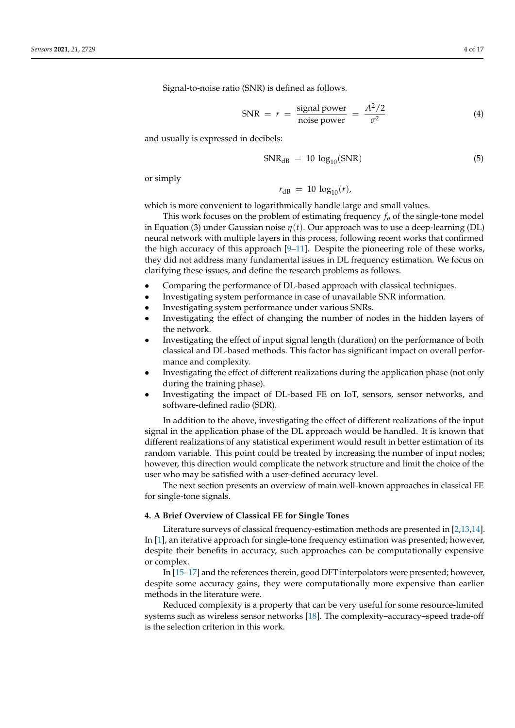Signal-to-noise ratio (SNR) is defined as follows.

$$
SNR = r = \frac{\text{signal power}}{\text{noise power}} = \frac{A^2/2}{\sigma^2}
$$
 (4)

and usually is expressed in decibels:

$$
SNR_{dB} = 10 \log_{10}(SNR) \tag{5}
$$

or simply

$$
r_{\text{dB}} = 10 \, \log_{10}(r),
$$

which is more convenient to logarithmically handle large and small values.

This work focuses on the problem of estimating frequency *f<sup>o</sup>* of the single-tone model in Equation (3) under Gaussian noise *η*(*t*). Our approach was to use a deep-learning (DL) neural network with multiple layers in this process, following recent works that confirmed the high accuracy of this approach [\[9](#page-16-7)[–11\]](#page-16-9). Despite the pioneering role of these works, they did not address many fundamental issues in DL frequency estimation. We focus on clarifying these issues, and define the research problems as follows.

- Comparing the performance of DL-based approach with classical techniques.
- Investigating system performance in case of unavailable SNR information.
- Investigating system performance under various SNRs.
- Investigating the effect of changing the number of nodes in the hidden layers of the network.
- Investigating the effect of input signal length (duration) on the performance of both classical and DL-based methods. This factor has significant impact on overall performance and complexity.
- Investigating the effect of different realizations during the application phase (not only during the training phase).
- Investigating the impact of DL-based FE on IoT, sensors, sensor networks, and software-defined radio (SDR).

In addition to the above, investigating the effect of different realizations of the input signal in the application phase of the DL approach would be handled. It is known that different realizations of any statistical experiment would result in better estimation of its random variable. This point could be treated by increasing the number of input nodes; however, this direction would complicate the network structure and limit the choice of the user who may be satisfied with a user-defined accuracy level.

The next section presents an overview of main well-known approaches in classical FE for single-tone signals.

# <span id="page-4-0"></span>**4. A Brief Overview of Classical FE for Single Tones**

Literature surveys of classical frequency-estimation methods are presented in [\[2,](#page-16-1)[13](#page-16-11)[,14\]](#page-16-12). In [\[1\]](#page-16-0), an iterative approach for single-tone frequency estimation was presented; however, despite their benefits in accuracy, such approaches can be computationally expensive or complex.

In [\[15–](#page-16-13)[17\]](#page-16-14) and the references therein, good DFT interpolators were presented; however, despite some accuracy gains, they were computationally more expensive than earlier methods in the literature were.

Reduced complexity is a property that can be very useful for some resource-limited systems such as wireless sensor networks [\[18\]](#page-16-15). The complexity–accuracy–speed trade-off is the selection criterion in this work.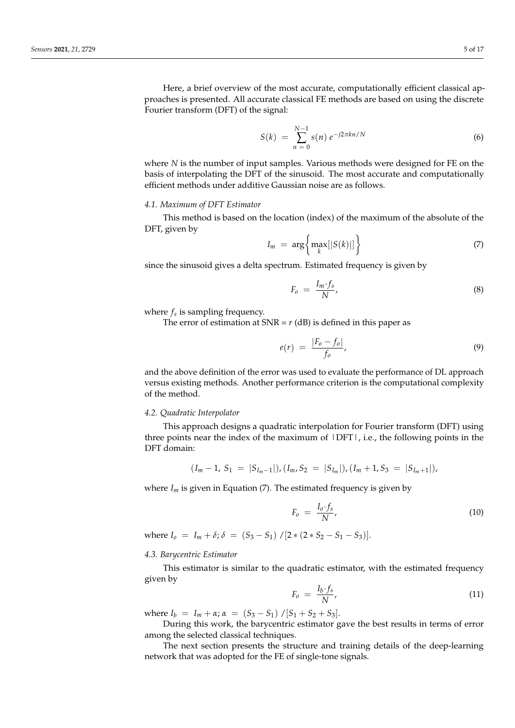Here, a brief overview of the most accurate, computationally efficient classical approaches is presented. All accurate classical FE methods are based on using the discrete Fourier transform (DFT) of the signal:

$$
S(k) = \sum_{n=0}^{N-1} s(n) e^{-j2\pi kn/N}
$$
 (6)

where *N* is the number of input samples. Various methods were designed for FE on the basis of interpolating the DFT of the sinusoid. The most accurate and computationally efficient methods under additive Gaussian noise are as follows.

# *4.1. Maximum of DFT Estimator*

This method is based on the location (index) of the maximum of the absolute of the DFT, given by

$$
I_m = \arg\left\{\max_k[|S(k)|]\right\} \tag{7}
$$

since the sinusoid gives a delta spectrum. Estimated frequency is given by

$$
F_o = \frac{I_m \cdot f_s}{N},\tag{8}
$$

where *f<sup>s</sup>* is sampling frequency.

The error of estimation at  $SNR = r$  (dB) is defined in this paper as

$$
e(r) = \frac{|F_o - f_o|}{f_o},\tag{9}
$$

and the above definition of the error was used to evaluate the performance of DL approach versus existing methods. Another performance criterion is the computational complexity of the method.

# *4.2. Quadratic Interpolator*

This approach designs a quadratic interpolation for Fourier transform (DFT) using three points near the index of the maximum of |DFT|, i.e., the following points in the DFT domain:

$$
(I_m-1, S_1 = |S_{I_m-1}|), (I_m, S_2 = |S_{I_m}|), (I_m+1, S_3 = |S_{I_m+1}|),
$$

where  $I_m$  is given in Equation (7). The estimated frequency is given by

$$
F_o = \frac{I_o \cdot f_s}{N},\tag{10}
$$

where  $I_0 = I_m + \delta$ ;  $\delta = (S_3 - S_1) / [2 * (2 * S_2 - S_1 - S_3)].$ 

# *4.3. Barycentric Estimator*

This estimator is similar to the quadratic estimator, with the estimated frequency given by

$$
F_o = \frac{I_b \cdot f_s}{N},\tag{11}
$$

where  $I_b = I_m + \alpha$ ;  $\alpha = (S_3 - S_1) / [S_1 + S_2 + S_3]$ .

During this work, the barycentric estimator gave the best results in terms of error among the selected classical techniques.

The next section presents the structure and training details of the deep-learning network that was adopted for the FE of single-tone signals.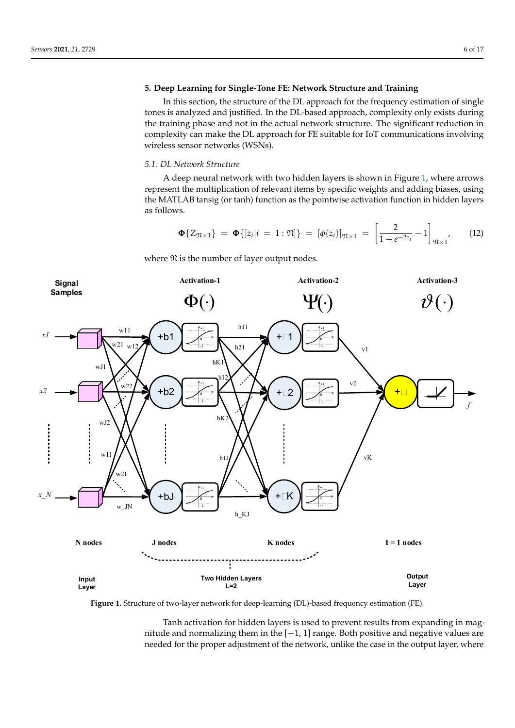# <span id="page-6-0"></span>**5. Deep Learning for Single-Tone FE: Network Structure and Training**

In this section, the structure of the DL approach for the frequency estimation of single tones is analyzed and justified. In the DL-based approach, complexity only exists during the training phase and not in the actual network structure. The significant reduction in complexity can make the DL approach for FE suitable for IoT communications involving wireless sensor networks (WSNs).

# *5.1. DL Network Structure*

A deep neural network with two hidden layers is shown in Figure [1,](#page-6-1) where arrows *5.1. DL Network Structure*  represent the multiplication of relevant items by specific weights and adding biases, using the MATLAB tansig (or tanh) function as the pointwise activation function in hidden layers the MATLAB tansig (or tanh) function as the pointwise activation function in hidden layers as follows. represent the multiplication of relevant items by specification of relevant in the multiplication in the multiplication of the multiplication of the multiplication of the multiplication of the multiplication of the multipl  $\frac{1}{\sqrt{2}}$  tansiem  $\frac{1}{\sqrt{2}}$  function  $\frac{1}{\sqrt{2}}$  and  $\frac{1}{\sqrt{2}}$  function in higher lay-

$$
\Phi\{Z_{\mathfrak{N}\times 1}\} = \Phi\{[z_i|i=1:\mathfrak{N}]\} = [\phi(z_i)]_{\mathfrak{N}\times 1} = \left[\frac{2}{1+e^{-2z_i}}-1\right]_{\mathfrak{N}\times 1}
$$
(12)

where  $\mathfrak N$  is the number of layer output nodes.

<span id="page-6-1"></span>

**Figure 1.** Structure of two-layer network for deep-learning (DL)-based frequency estimation (FE). **Figure 1.** Structure of two-layer network for deep-learning (DL)-based frequency estimation (FE).

nitude and normalizing them in the [−1, 1] range. Both positive and negative values are needed for the proper adjustment of the network, unlike the case in the output layer, where Tanh activation for hidden layers is used to prevent results from expanding in mag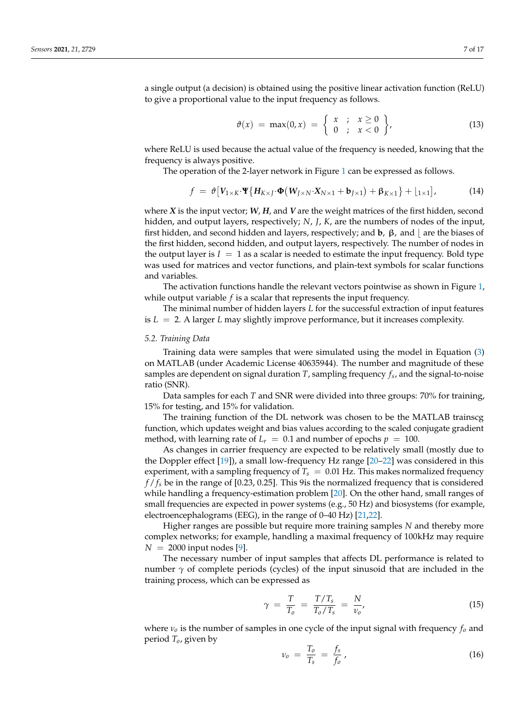a single output (a decision) is obtained using the positive linear activation function (ReLU) to give a proportional value to the input frequency as follows.

$$
\vartheta(x) = \max(0, x) = \left\{ \begin{array}{ll} x & ; & x \ge 0 \\ 0 & ; & x < 0 \end{array} \right\},\tag{13}
$$

where ReLU is used because the actual value of the frequency is needed, knowing that the frequency is always positive.

The operation of the 2-layer network in Figure [1](#page-6-1) can be expressed as follows.

$$
f = \vartheta \big[ V_{1 \times K} \cdot \mathbf{\Psi} \big\{ H_{K \times J} \cdot \mathbf{\Phi} \big( W_{J \times N} \cdot X_{N \times 1} + \mathbf{b}_{J \times 1} \big) + \beta_{K \times 1} \big\} + \big[ \t{1 \times 1} \big], \tag{14}
$$

where *X* is the input vector; *W*, *H*, and *V* are the weight matrices of the first hidden, second hidden, and output layers, respectively; *N*, *J*, *K*, are the numbers of nodes of the input, first hidden, and second hidden and layers, respectively; and **b**,  $\beta$ , and  $\alpha$  are the biases of the first hidden, second hidden, and output layers, respectively. The number of nodes in the output layer is  $I = 1$  as a scalar is needed to estimate the input frequency. Bold type was used for matrices and vector functions, and plain-text symbols for scalar functions and variables.

The activation functions handle the relevant vectors pointwise as shown in Figure [1,](#page-6-1) while output variable *f* is a scalar that represents the input frequency.

The minimal number of hidden layers *L* for the successful extraction of input features is *L* = 2. A larger *L* may slightly improve performance, but it increases complexity.

### *5.2. Training Data*

Training data were samples that were simulated using the model in Equation [\(3\)](#page-3-2) on MATLAB (under Academic License 40635944). The number and magnitude of these samples are dependent on signal duration *T*, sampling frequency *f<sup>s</sup>* , and the signal-to-noise ratio (SNR).

Data samples for each *T* and SNR were divided into three groups: 70% for training, 15% for testing, and 15% for validation.

The training function of the DL network was chosen to be the MATLAB trainscg function, which updates weight and bias values according to the scaled conjugate gradient method, with learning rate of  $L_r = 0.1$  and number of epochs  $p = 100$ .

As changes in carrier frequency are expected to be relatively small (mostly due to the Doppler effect [\[19\]](#page-16-16)), a small low-frequency Hz range [\[20](#page-16-17)[–22\]](#page-16-18) was considered in this experiment, with a sampling frequency of  $T_s = 0.01$  Hz. This makes normalized frequency *f* / *f<sup>s</sup>* be in the range of [0.23, 0.25]. This 9is the normalized frequency that is considered while handling a frequency-estimation problem [\[20\]](#page-16-17). On the other hand, small ranges of small frequencies are expected in power systems (e.g., 50 Hz) and biosystems (for example, electroencephalograms (EEG), in the range of 0–40 Hz) [\[21](#page-16-19)[,22\]](#page-16-18).

Higher ranges are possible but require more training samples *N* and thereby more complex networks; for example, handling a maximal frequency of 100kHz may require  $N = 2000$  input nodes [\[9\]](#page-16-7).

The necessary number of input samples that affects DL performance is related to number  $\gamma$  of complete periods (cycles) of the input sinusoid that are included in the training process, which can be expressed as

$$
\gamma = \frac{T}{T_o} = \frac{T/T_s}{T_o/T_s} = \frac{N}{\nu_o},\tag{15}
$$

where *ν<sup>o</sup>* is the number of samples in one cycle of the input signal with frequency *f<sup>o</sup>* and period *To*, given by

$$
v_o = \frac{T_o}{T_s} = \frac{f_s}{f_o} \,,\tag{16}
$$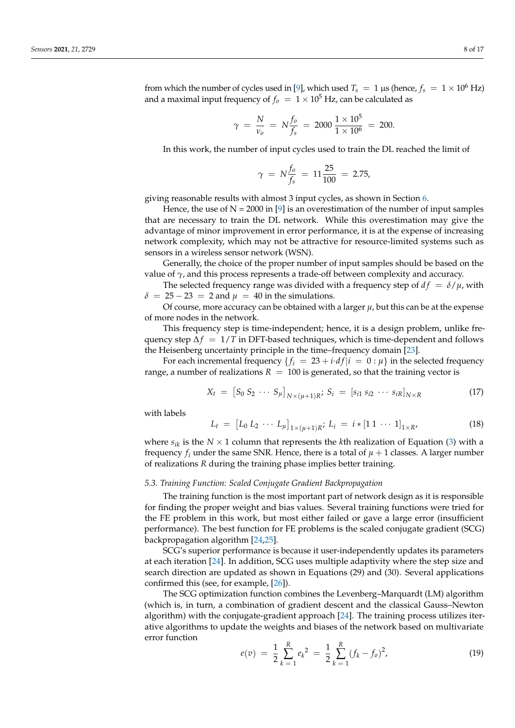from which the number of cycles used in [\[9\]](#page-16-7), which used  $T_s = 1 \mu s$  (hence,  $f_s = 1 \times 10^6$  Hz) and a maximal input frequency of  $f<sub>o</sub> = 1 \times 10^5$  Hz, can be calculated as

$$
\gamma = \frac{N}{v_o} = N \frac{f_o}{f_s} = 2000 \frac{1 \times 10^5}{1 \times 10^6} = 200.
$$

In this work, the number of input cycles used to train the DL reached the limit of

$$
\gamma \ = \ N \frac{f_0}{f_s} \ = \ 11 \frac{25}{100} \ = \ 2.75,
$$

giving reasonable results with almost 3 input cycles, as shown in Section [6.](#page-10-0)

Hence, the use of  $N = 2000$  in [\[9\]](#page-16-7) is an overestimation of the number of input samples that are necessary to train the DL network. While this overestimation may give the advantage of minor improvement in error performance, it is at the expense of increasing network complexity, which may not be attractive for resource-limited systems such as sensors in a wireless sensor network (WSN).

Generally, the choice of the proper number of input samples should be based on the value of  $\gamma$ , and this process represents a trade-off between complexity and accuracy.

The selected frequency range was divided with a frequency step of  $df = \delta / \mu$ , with  $\delta = 25 - 23 = 2$  and  $\mu = 40$  in the simulations.

Of course, more accuracy can be obtained with a larger  $\mu$ , but this can be at the expense of more nodes in the network.

This frequency step is time-independent; hence, it is a design problem, unlike frequency step ∆*f* = 1/*T* in DFT-based techniques, which is time-dependent and follows the Heisenberg uncertainty principle in the time–frequency domain [\[23\]](#page-16-20).

For each incremental frequency  ${f_i = 23 + i \cdot df | i = 0 : \mu}$  in the selected frequency range, a number of realizations  $R = 100$  is generated, so that the training vector is

$$
X_{t} = [S_{0} S_{2} \cdots S_{\mu}]_{N \times (\mu+1)R}; S_{i} = [s_{i1} s_{i2} \cdots s_{iR}]_{N \times R}
$$
 (17)

with labels

$$
L_t = [L_0 L_2 \cdots L_{\mu}]_{1 \times (\mu+1)R}; L_i = i * [1 1 \cdots 1]_{1 \times R'} \tag{18}
$$

where  $s_{ik}$  is the  $N \times 1$  column that represents the *k*th realization of Equation [\(3\)](#page-3-2) with a frequency  $f_i$  under the same SNR. Hence, there is a total of  $\mu + 1$  classes. A larger number of realizations *R* during the training phase implies better training.

#### *5.3. Training Function: Scaled Conjugate Gradient Backpropagation*

The training function is the most important part of network design as it is responsible for finding the proper weight and bias values. Several training functions were tried for the FE problem in this work, but most either failed or gave a large error (insufficient performance). The best function for FE problems is the scaled conjugate gradient (SCG) backpropagation algorithm [\[24,](#page-16-21)[25\]](#page-17-0).

SCG's superior performance is because it user-independently updates its parameters at each iteration [\[24\]](#page-16-21). In addition, SCG uses multiple adaptivity where the step size and search direction are updated as shown in Equations (29) and (30). Several applications confirmed this (see, for example, [\[26\]](#page-17-1)).

The SCG optimization function combines the Levenberg–Marquardt (LM) algorithm (which is, in turn, a combination of gradient descent and the classical Gauss–Newton algorithm) with the conjugate-gradient approach [\[24\]](#page-16-21). The training process utilizes iterative algorithms to update the weights and biases of the network based on multivariate error function

$$
e(v) = \frac{1}{2} \sum_{k=1}^{R} e_k^2 = \frac{1}{2} \sum_{k=1}^{R} (f_k - f_o)^2,
$$
 (19)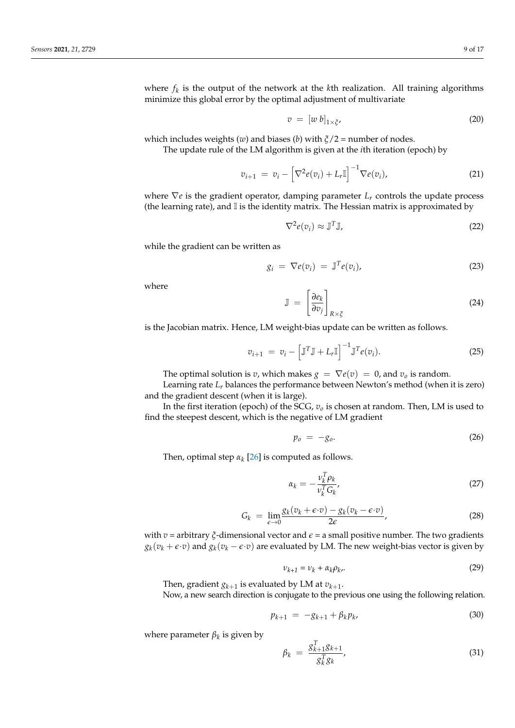where *f<sup>k</sup>* is the output of the network at the *k*th realization. All training algorithms minimize this global error by the optimal adjustment of multivariate

$$
v = [w b]_{1 \times \zeta'}, \tag{20}
$$

which includes weights (*w*) and biases (*b*) with *ξ*/2 = number of nodes. The update rule of the LM algorithm is given at the *i*th iteration (epoch) by

$$
v_{i+1} = v_i - \left[\nabla^2 e(v_i) + L_r \mathbb{I}\right]^{-1} \nabla e(v_i), \tag{21}
$$

where ∇*e* is the gradient operator, damping parameter *L<sup>r</sup>* controls the update process (the learning rate), and  $\mathbb I$  is the identity matrix. The Hessian matrix is approximated by

$$
\nabla^2 e(v_i) \approx \mathbb{J}^T \mathbb{J},\tag{22}
$$

while the gradient can be written as

$$
g_i = \nabla e(v_i) = \mathbb{J}^T e(v_i), \qquad (23)
$$

where

$$
\mathbb{J} = \left[\frac{\partial e_k}{\partial v_j}\right]_{R \times \xi} \tag{24}
$$

is the Jacobian matrix. Hence, LM weight-bias update can be written as follows.

$$
v_{i+1} = v_i - \left[\mathbb{J}^T \mathbb{J} + L_r \mathbb{I}\right]^{-1} \mathbb{J}^T e(v_i).
$$
 (25)

The optimal solution is *v*, which makes  $g = \nabla e(v) = 0$ , and  $v_o$  is random.

Learning rate *L<sup>r</sup>* balances the performance between Newton's method (when it is zero) and the gradient descent (when it is large).

In the first iteration (epoch) of the SCG, *v<sup>o</sup>* is chosen at random. Then, LM is used to find the steepest descent, which is the negative of LM gradient

$$
p_o = -g_o. \tag{26}
$$

Then, optimal step  $\alpha_k$  [\[26\]](#page-17-1) is computed as follows.

<span id="page-9-0"></span>
$$
\alpha_k = -\frac{\nu_k^T \rho_k}{\nu_k^T G_k},\tag{27}
$$

$$
G_k = \lim_{\epsilon \to 0} \frac{g_k(v_k + \epsilon \cdot v) - g_k(v_k - \epsilon \cdot v)}{2\epsilon},
$$
\n(28)

with  $v =$  arbitrary  $\zeta$ -dimensional vector and  $\epsilon =$  a small positive number. The two gradients  $g_k(v_k + \epsilon \cdot v)$  and  $g_k(v_k - \epsilon \cdot v)$  are evaluated by LM. The new weight-bias vector is given by

$$
\nu_{k+1} = \nu_k + \alpha_k \rho_k. \tag{29}
$$

Then, gradient  $g_{k+1}$  is evaluated by LM at  $v_{k+1}.$ 

Now, a new search direction is conjugate to the previous one using the following relation.

$$
p_{k+1} = -g_{k+1} + \beta_k p_k, \tag{30}
$$

where parameter *β<sup>k</sup>* is given by

$$
\beta_k = \frac{g_{k+1}^T g_{k+1}}{g_k^T g_k},\tag{31}
$$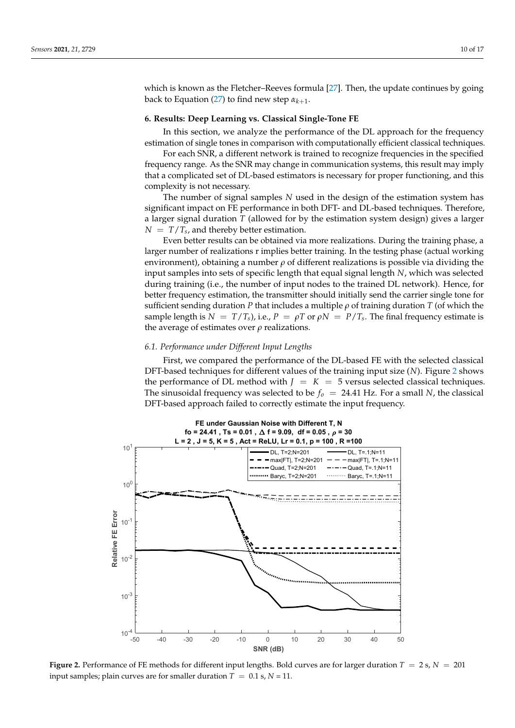which is known as the Fletcher–Reeves formula [\[27\]](#page-17-2). Then, the update continues by going back to Equation [\(27\)](#page-9-0) to find new step *αk*+<sup>1</sup> .

### <span id="page-10-0"></span>**6. Results: Deep Learning vs. Classical Single-Tone FE**

In this section, we analyze the performance of the DL approach for the frequency estimation of single tones in comparison with computationally efficient classical techniques.

For each SNR, a different network is trained to recognize frequencies in the specified frequency range. As the SNR may change in communication systems, this result may imply that a complicated set of DL-based estimators is necessary for proper functioning, and this complexity is not necessary.

The number of signal samples *N* used in the design of the estimation system has significant impact on FE performance in both DFT- and DL-based techniques. Therefore, a larger signal duration *T* (allowed for by the estimation system design) gives a larger  $N = T/T_s$ , and thereby better estimation.

Even better results can be obtained via more realizations. During the training phase, a larger number of realizations r implies better training. In the testing phase (actual working environment), obtaining a number *ρ* of different realizations is possible via dividing the input samples into sets of specific length that equal signal length *N*, which was selected during training (i.e., the number of input nodes to the trained DL network). Hence, for better frequency estimation, the transmitter should initially send the carrier single tone for sufficient sending duration *P* that includes a multiple *ρ* of training duration *T* (of which the sample length is  $N = T/T_s$ , i.e.,  $P = \rho T$  or  $\rho N = P/T_s$ . The final frequency estimate is the average of estimates over *ρ* realizations.

# **6.1. Performance under Different Input Lengths**

First, we compared the performance of the DL-based FE with the selected classical DFT-based techniques for different values of the training input size (N). Figure [2](#page-10-1) shows the performance of DL method with  $J = K = 5$  versus selected classical techniques. The sinusoidal frequency was selected to be  $f_o = 24.41$  Hz. For a small N, the classical DFT-based approach failed to correctly estimate the input frequency.

<span id="page-10-1"></span>

**Figure 2.** Performance of FE methods for different input lengths. Bold curves are for larger duration  $T = 2$  s,  $N = 201$ input samples; plain curves are for smaller duration  $T = 0.1$  s,  $N = 11$ .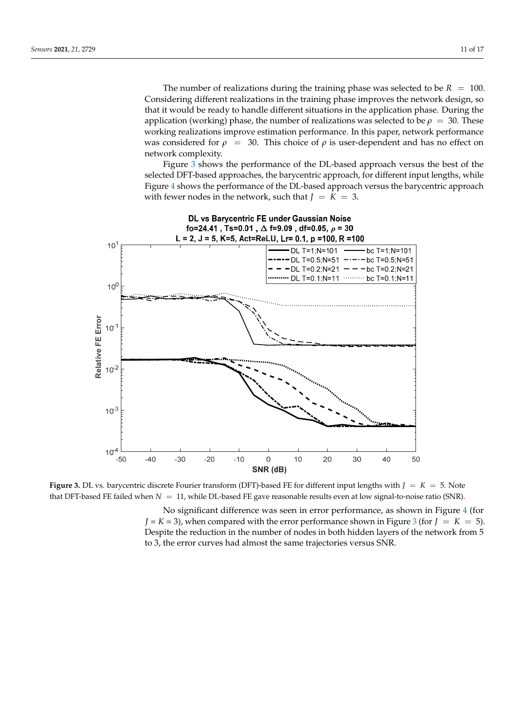The number of realizations during the training phase was selected to be  $R = 100$ . Considering different realizations in the training phase improves the network design, so that it would be ready to handle different situations in the application phase. During the application (working) phase, the number of realizations was selected to be  $\rho = 30$ . These working realizations improve estimation performance. In this paper, network performance was considered for  $\rho = 30$ . This choice of  $\rho$  is user-dependent and has no effect on network complexity.

Figure [3](#page-11-0) shows the performance of the DL-based approach versus the best of the selected DFT-based approaches, the barycentric approach, for different input lengths, while Figure [4](#page-12-0) shows the performance of the DL-based approach versus the barycentric approach with fewer nodes in the network, such that  $J = K = 3$ .

<span id="page-11-0"></span>

**Figure 3. Decision 3. All versus discrete Fourier discrete Fourier transformation** different input lengths with  $\sigma$  = 5. Note of  $\sigma$  = 5. Note of  $\sigma$  = 5. Note of  $\sigma$  = 5. Note of  $\sigma$  = 5. Note of  $\sigma$  = 5. Note of that DFT-based FE failed when  $N = 11$ , while DL-based FE gave reasonable results even at low signal-to-noise ratio (SNR). **Figure 3.** DL vs. barycentric discrete Fourier transform (DFT)-based FE for different input lengths with *J* = *K* = 5. Note

No significant difference was seen in error performance, as shown in Figure [4](#page-12-0) (for  $J = K = 3$  $J = K = 3$ , when compared with the error performance shown in Figure 3 (for  $J = K = 5$ ). Despite the reduction in the number of nodes in both hidden layers of the network from 5 to 3, the error curves had almost the same trajectories versus SNR.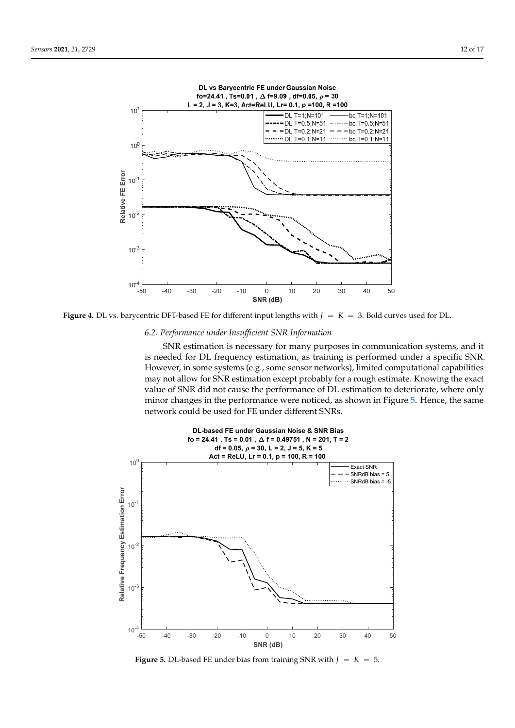<span id="page-12-0"></span>

**Figure 4.** DL vs. barycentric DFT-based FE for different input lengths with *J* = *K* = 3. Bold curves used for DL.

# *6.2. Performance under Insufficient SNR Information*

SNR estimation is necessary for many purposes in communication systems, and it is needed for DL frequency estimation, as training is performed under a specific SNR. However, in some systems (e.g., some sensor networks), limited computational capabilities may not allow for SNR estimation except probably for a rough estimate. Knowing the exact value of SNR did not cause the performance of DL estimation to deteriorate, where only minor changes in the performance were noticed, as shown in Figure [5.](#page-12-1) Hence, the same *Sensors* **2021**, *21*, x FOR PEER REVIEW 13 of 17 network could be used for FE under different SNRs.

<span id="page-12-1"></span>

**Figure 5.** DL-based FE under bias from training SNR with  $J = K = 5$ .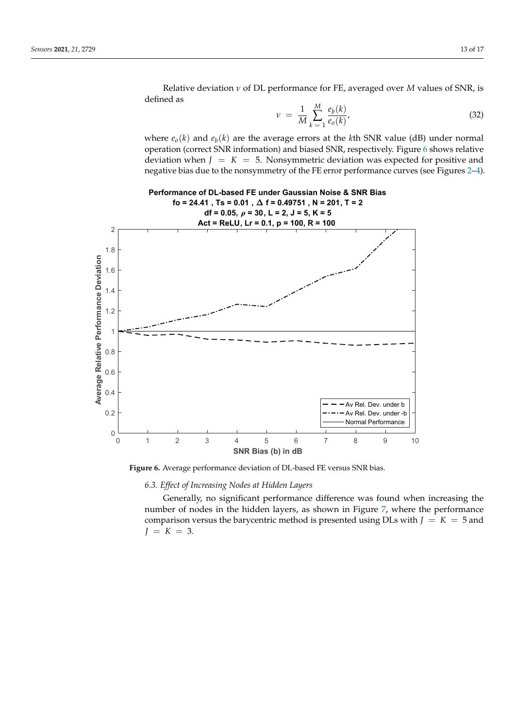Relative deviation *ν* of DL performance for FE, averaged over *M* values of SNR, is defined as

$$
\nu = \frac{1}{M} \sum_{k=1}^{M} \frac{e_b(k)}{e_o(k)},
$$
\n(32)

where  $e_o(k)$  and  $e_b(k)$  are the average errors at the *k*th SNR value (dB) under normal operation (correct SNR information) and biased SNR, respectively. Figure [6](#page-13-0) shows relative deviation when  $J = K = 5$ . Nonsymmetric deviation was expected for positive and negative bias due to the nonsymmetry of the FE error performance curves (see Figures [2](#page-10-1)[–4\)](#page-12-0).

<span id="page-13-0"></span>

**Performance of DL-based FE under Gaussian Noise & SNR Bias**

**Figure 6.** Average performance deviation of DL-based FE versus SNR bias. **Figure 6.** Average performance deviation of DL-based FE versus SNR bias.

*6.3. Effect of Increasing Nodes at Hidden Layers*

Generally, no significant performance difference was found when increasing the number of nodes in the hidden layers, as shown in Figure [7,](#page-14-0) where the performance comparison versus the barycentric method is presented using DLs with  $J = K = 5$  and  $J = K = 3$ .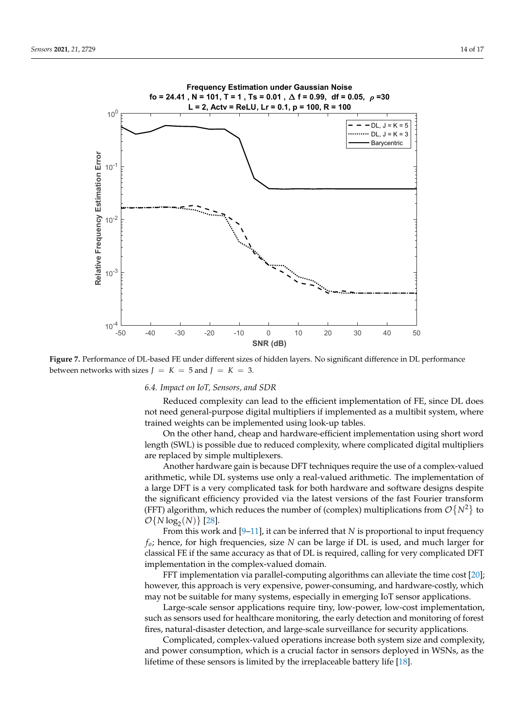<span id="page-14-0"></span>

 $\frac{1}{2}$  **Performance of DL-based FE under different sizes of**  $\frac{1}{2}$  **by**  $\frac{1}{2}$  **by**  $\frac{1}{2}$ between networks with sizes  $J = K = 5$  and  $J = K = 3$ . **Figure 7.** Performance of DL-based FE under different sizes of hidden layers. No significant difference in DL performance

#### *6.4. Impact on IoT, Sensors, and SDR*

Reduced complexity can lead to the efficient implementation of FE, since DL does not need general-purpose digital multipliers if implemented as a multibit system, where trained weights can be implemented using look-up tables.

On the other hand, cheap and hardware-efficient implementation using short word length (SWL) is possible due to reduced complexity, where complicated digital multipliers are replaced by simple multiplexers.

Another hardware gain is because DFT techniques require the use of a complex-valued arithmetic, while DL systems use only a real-valued arithmetic. The implementation of a large DFT is a very complicated task for both hardware and software designs despite the significant efficiency provided via the latest versions of the fast Fourier transform (FFT) algorithm, which reduces the number of (complex) multiplications from  $\mathcal{O}{N^2}$  to  $\mathcal{O}\{\text{N}\log_2(N)\}\$  [\[28\]](#page-17-3).

From this work and  $[9-11]$  $[9-11]$ , it can be inferred that *N* is proportional to input frequency *f<sub>o</sub>*; hence, for high frequencies, size *N* can be large if DL is used, and much larger for classical FE if the same accuracy as that of DL is required, calling for very complicated DFT implementation in the complex-valued domain.

FFT implementation via parallel-computing algorithms can alleviate the time cost [\[20\]](#page-16-17); however, this approach is very expensive, power-consuming, and hardware-costly, which may not be suitable for many systems, especially in emerging IoT sensor applications.

Large-scale sensor applications require tiny, low-power, low-cost implementation, such as sensors used for healthcare monitoring, the early detection and monitoring of forest fires, natural-disaster detection, and large-scale surveillance for security applications.

Complicated, complex-valued operations increase both system size and complexity, and power consumption, which is a crucial factor in sensors deployed in WSNs, as the lifetime of these sensors is limited by the irreplaceable battery life [\[18\]](#page-16-15).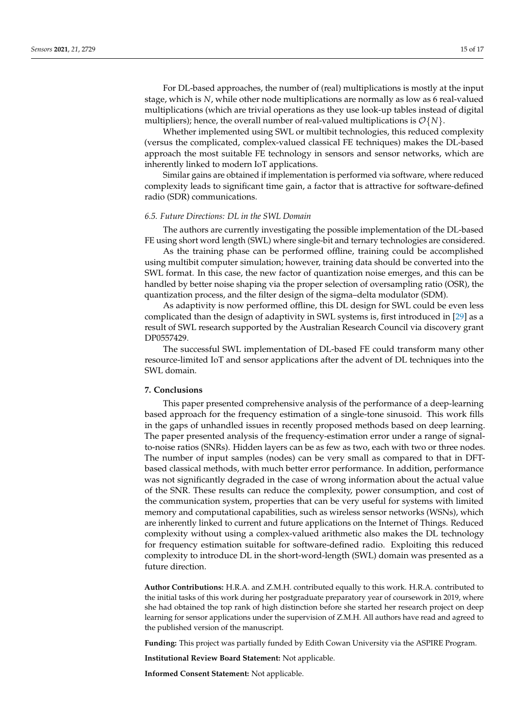For DL-based approaches, the number of (real) multiplications is mostly at the input stage, which is *N*, while other node multiplications are normally as low as 6 real-valued multiplications (which are trivial operations as they use look-up tables instead of digital

multipliers); hence, the overall number of real-valued multiplications is  $\mathcal{O}{N}$ . Whether implemented using SWL or multibit technologies, this reduced complexity (versus the complicated, complex-valued classical FE techniques) makes the DL-based approach the most suitable FE technology in sensors and sensor networks, which are inherently linked to modern IoT applications.

Similar gains are obtained if implementation is performed via software, where reduced complexity leads to significant time gain, a factor that is attractive for software-defined radio (SDR) communications.

# *6.5. Future Directions: DL in the SWL Domain*

The authors are currently investigating the possible implementation of the DL-based FE using short word length (SWL) where single-bit and ternary technologies are considered.

As the training phase can be performed offline, training could be accomplished using multibit computer simulation; however, training data should be converted into the SWL format. In this case, the new factor of quantization noise emerges, and this can be handled by better noise shaping via the proper selection of oversampling ratio (OSR), the quantization process, and the filter design of the sigma–delta modulator (SDM).

As adaptivity is now performed offline, this DL design for SWL could be even less complicated than the design of adaptivity in SWL systems is, first introduced in [\[29\]](#page-17-4) as a result of SWL research supported by the Australian Research Council via discovery grant DP0557429.

The successful SWL implementation of DL-based FE could transform many other resource-limited IoT and sensor applications after the advent of DL techniques into the SWL domain.

#### **7. Conclusions**

This paper presented comprehensive analysis of the performance of a deep-learning based approach for the frequency estimation of a single-tone sinusoid. This work fills in the gaps of unhandled issues in recently proposed methods based on deep learning. The paper presented analysis of the frequency-estimation error under a range of signalto-noise ratios (SNRs). Hidden layers can be as few as two, each with two or three nodes. The number of input samples (nodes) can be very small as compared to that in DFTbased classical methods, with much better error performance. In addition, performance was not significantly degraded in the case of wrong information about the actual value of the SNR. These results can reduce the complexity, power consumption, and cost of the communication system, properties that can be very useful for systems with limited memory and computational capabilities, such as wireless sensor networks (WSNs), which are inherently linked to current and future applications on the Internet of Things. Reduced complexity without using a complex-valued arithmetic also makes the DL technology for frequency estimation suitable for software-defined radio. Exploiting this reduced complexity to introduce DL in the short-word-length (SWL) domain was presented as a future direction.

**Author Contributions:** H.R.A. and Z.M.H. contributed equally to this work. H.R.A. contributed to the initial tasks of this work during her postgraduate preparatory year of coursework in 2019, where she had obtained the top rank of high distinction before she started her research project on deep learning for sensor applications under the supervision of Z.M.H. All authors have read and agreed to the published version of the manuscript.

**Funding:** This project was partially funded by Edith Cowan University via the ASPIRE Program.

**Institutional Review Board Statement:** Not applicable.

**Informed Consent Statement:** Not applicable.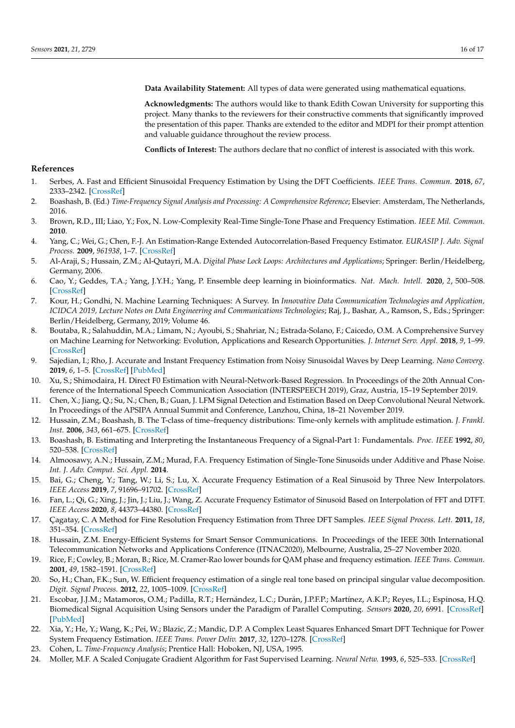**Data Availability Statement:** All types of data were generated using mathematical equations.

**Acknowledgments:** The authors would like to thank Edith Cowan University for supporting this project. Many thanks to the reviewers for their constructive comments that significantly improved the presentation of this paper. Thanks are extended to the editor and MDPI for their prompt attention and valuable guidance throughout the review process.

**Conflicts of Interest:** The authors declare that no conflict of interest is associated with this work.

### **References**

- <span id="page-16-0"></span>1. Serbes, A. Fast and Efficient Sinusoidal Frequency Estimation by Using the DFT Coefficients. *IEEE Trans. Commun.* **2018**, *67*, 2333–2342. [\[CrossRef\]](http://doi.org/10.1109/TCOMM.2018.2886355)
- <span id="page-16-1"></span>2. Boashash, B. (Ed.) *Time-Frequency Signal Analysis and Processing: A Comprehensive Reference*; Elsevier: Amsterdam, The Netherlands, 2016.
- <span id="page-16-2"></span>3. Brown, R.D., III; Liao, Y.; Fox, N. Low-Complexity Real-Time Single-Tone Phase and Frequency Estimation. *IEEE Mil. Commun.* **2010**.
- <span id="page-16-3"></span>4. Yang, C.; Wei, G.; Chen, F.-J. An Estimation-Range Extended Autocorrelation-Based Frequency Estimator. *EURASIP J. Adv. Signal Process.* **2009**, *961938*, 1–7. [\[CrossRef\]](http://doi.org/10.1155/2009/961938)
- <span id="page-16-4"></span>5. Al-Araji, S.; Hussain, Z.M.; Al-Qutayri, M.A. *Digital Phase Lock Loops: Architectures and Applications*; Springer: Berlin/Heidelberg, Germany, 2006.
- <span id="page-16-5"></span>6. Cao, Y.; Geddes, T.A.; Yang, J.Y.H.; Yang, P. Ensemble deep learning in bioinformatics. *Nat. Mach. Intell.* **2020**, *2*, 500–508. [\[CrossRef\]](http://doi.org/10.1038/s42256-020-0217-y)
- 7. Kour, H.; Gondhi, N. Machine Learning Techniques: A Survey. In *Innovative Data Communication Technologies and Application, ICIDCA 2019, Lecture Notes on Data Engineering and Communications Technologies*; Raj, J., Bashar, A., Ramson, S., Eds.; Springer: Berlin/Heidelberg, Germany, 2019; Volume 46.
- <span id="page-16-6"></span>8. Boutaba, R.; Salahuddin, M.A.; Limam, N.; Ayoubi, S.; Shahriar, N.; Estrada-Solano, F.; Caicedo, O.M. A Comprehensive Survey on Machine Learning for Networking: Evolution, Applications and Research Opportunities. *J. Internet Serv. Appl.* **2018**, *9*, 1–99. [\[CrossRef\]](http://doi.org/10.1186/s13174-018-0087-2)
- <span id="page-16-7"></span>9. Sajedian, I.; Rho, J. Accurate and Instant Frequency Estimation from Noisy Sinusoidal Waves by Deep Learning. *Nano Converg.* **2019**, *6*, 1–5. [\[CrossRef\]](http://doi.org/10.1186/s40580-019-0197-y) [\[PubMed\]](http://www.ncbi.nlm.nih.gov/pubmed/31414287)
- <span id="page-16-8"></span>10. Xu, S.; Shimodaira, H. Direct F0 Estimation with Neural-Network-Based Regression. In Proceedings of the 20th Annual Conference of the International Speech Communication Association (INTERSPEECH 2019), Graz, Austria, 15–19 September 2019.
- <span id="page-16-9"></span>11. Chen, X.; Jiang, Q.; Su, N.; Chen, B.; Guan, J. LFM Signal Detection and Estimation Based on Deep Convolutional Neural Network. In Proceedings of the APSIPA Annual Summit and Conference, Lanzhou, China, 18–21 November 2019.
- <span id="page-16-10"></span>12. Hussain, Z.M.; Boashash, B. The T-class of time–frequency distributions: Time-only kernels with amplitude estimation. *J. Frankl. Inst.* **2006**, *343*, 661–675. [\[CrossRef\]](http://doi.org/10.1016/j.jfranklin.2006.03.020)
- <span id="page-16-11"></span>13. Boashash, B. Estimating and Interpreting the Instantaneous Frequency of a Signal-Part 1: Fundamentals. *Proc. IEEE* **1992**, *80*, 520–538. [\[CrossRef\]](http://doi.org/10.1109/5.135376)
- <span id="page-16-12"></span>14. Almoosawy, A.N.; Hussain, Z.M.; Murad, F.A. Frequency Estimation of Single-Tone Sinusoids under Additive and Phase Noise. *Int. J. Adv. Comput. Sci. Appl.* **2014**.
- <span id="page-16-13"></span>15. Bai, G.; Cheng, Y.; Tang, W.; Li, S.; Lu, X. Accurate Frequency Estimation of a Real Sinusoid by Three New Interpolators. *IEEE Access* **2019**, *7*, 91696–91702. [\[CrossRef\]](http://doi.org/10.1109/ACCESS.2019.2927287)
- 16. Fan, L.; Qi, G.; Xing, J.; Jin, J.; Liu, J.; Wang, Z. Accurate Frequency Estimator of Sinusoid Based on Interpolation of FFT and DTFT. *IEEE Access* **2020**, *8*, 44373–44380. [\[CrossRef\]](http://doi.org/10.1109/ACCESS.2020.2977978)
- <span id="page-16-14"></span>17. Çagatay, C. A Method for Fine Resolution Frequency Estimation from Three DFT Samples. *IEEE Signal Process. Lett.* **2011**, *18*, 351–354. [\[CrossRef\]](http://doi.org/10.1109/lsp.2011.2136378)
- <span id="page-16-15"></span>18. Hussain, Z.M. Energy-Efficient Systems for Smart Sensor Communications. In Proceedings of the IEEE 30th International Telecommunication Networks and Applications Conference (ITNAC2020), Melbourne, Australia, 25–27 November 2020.
- <span id="page-16-16"></span>19. Rice, F.; Cowley, B.; Moran, B.; Rice, M. Cramer-Rao lower bounds for QAM phase and frequency estimation. *IEEE Trans. Commun.* **2001**, *49*, 1582–1591. [\[CrossRef\]](http://doi.org/10.1109/26.950345)
- <span id="page-16-17"></span>20. So, H.; Chan, F.K.; Sun, W. Efficient frequency estimation of a single real tone based on principal singular value decomposition. *Digit. Signal Process.* **2012**, *22*, 1005–1009. [\[CrossRef\]](http://doi.org/10.1016/j.dsp.2012.05.010)
- <span id="page-16-19"></span>21. Escobar, J.J.M.; Matamoros, O.M.; Padilla, R.T.; Hernández, L.C.; Durán, J.P.F.P.; Martínez, A.K.P.; Reyes, I.L.; Espinosa, H.Q. Biomedical Signal Acquisition Using Sensors under the Paradigm of Parallel Computing. *Sensors* **2020**, *20*, 6991. [\[CrossRef\]](http://doi.org/10.3390/s20236991) [\[PubMed\]](http://www.ncbi.nlm.nih.gov/pubmed/33297388)
- <span id="page-16-18"></span>22. Xia, Y.; He, Y.; Wang, K.; Pei, W.; Blazic, Z.; Mandic, D.P. A Complex Least Squares Enhanced Smart DFT Technique for Power System Frequency Estimation. *IEEE Trans. Power Deliv.* **2017**, *32*, 1270–1278. [\[CrossRef\]](http://doi.org/10.1109/TPWRD.2015.2418778)
- <span id="page-16-20"></span>23. Cohen, L. *Time-Frequency Analysis*; Prentice Hall: Hoboken, NJ, USA, 1995.
- <span id="page-16-21"></span>24. Moller, M.F. A Scaled Conjugate Gradient Algorithm for Fast Supervised Learning. *Neural Netw.* **1993**, *6*, 525–533. [\[CrossRef\]](http://doi.org/10.1016/S0893-6080(05)80056-5)